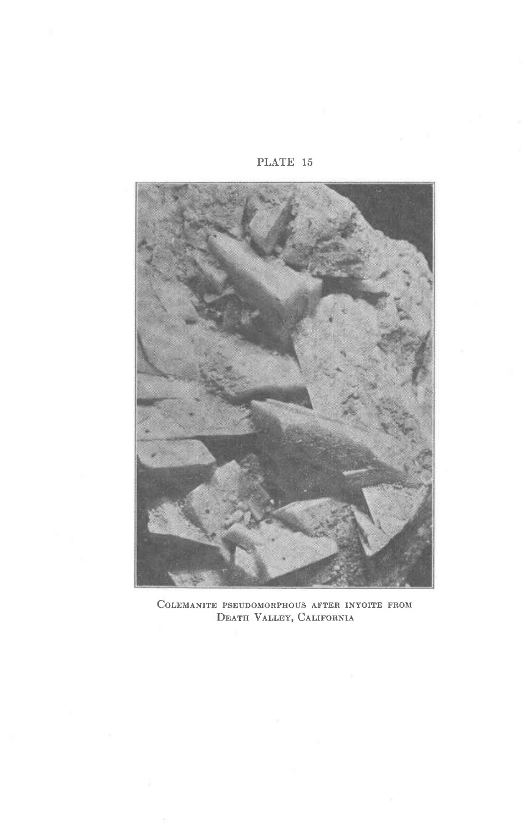PLATE 15



COLEMANITE PSEUDOMORPHOUS AFTER INYOITE FROM DEATH VALLEY, CALIFORNIA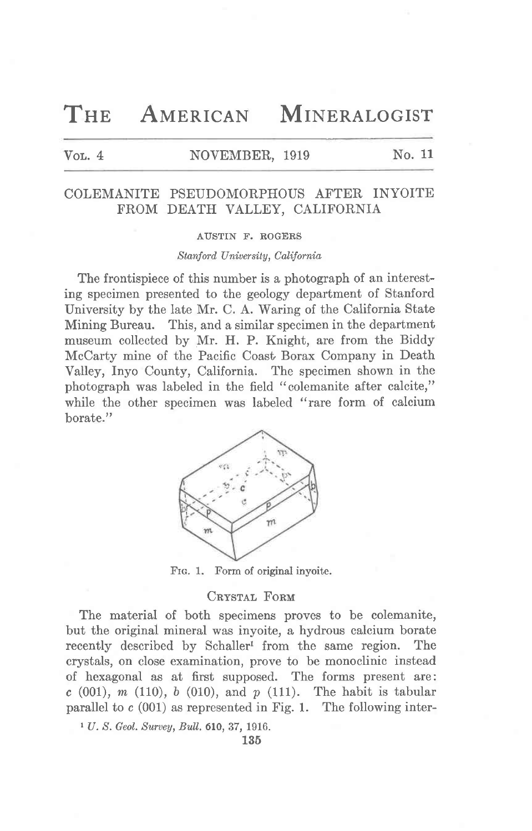THE AMERICAN MINERALOGIST

# Vol. 4 NOVEMBER, 1919 No. 11

## COLEMANITE PSEUDOMORPHOUS AFTER INYOITE FROM DEATH VALLEY. CALIFORNIA

#### AUSTIN F. ROGERS

### Stanford University, California

The frontispiece of this number is a photograph of an interesting specimen presented to the geology department of Stanford University by the late Mr. C. A. Waring of the California State Mining Bureau. This, and a similar specimen in the department museum collected by Mr. H. P. Knight, are from the Biddy McCarty mine of the Pacific Coast Borax Company in Death Valley, Inyo County, California. The specimen shown in the photograph was labeled in the field "colemanite after calcite," while the other specimen was labeled "rare form of calcium borate."



FIG. 1. Form of original inyoite.

## CRYSTAL FORM

The material of both specimens proves to be colemanite, but the original mineral was inyoite, a hydrous calcium borate recently described by Schaller<sup>1</sup> from the same region. The crystals, on close examination, prove to be monoclinic instead of hexagonal as at first supposed. The forms present are:  $c(001)$ , m (110), b (010), and p (111). The habit is tabular parallel to  $c(001)$  as represented in Fig. 1. The following inter-

 $1 U. S. Geol. Survey, Bull. 610, 37, 1916.$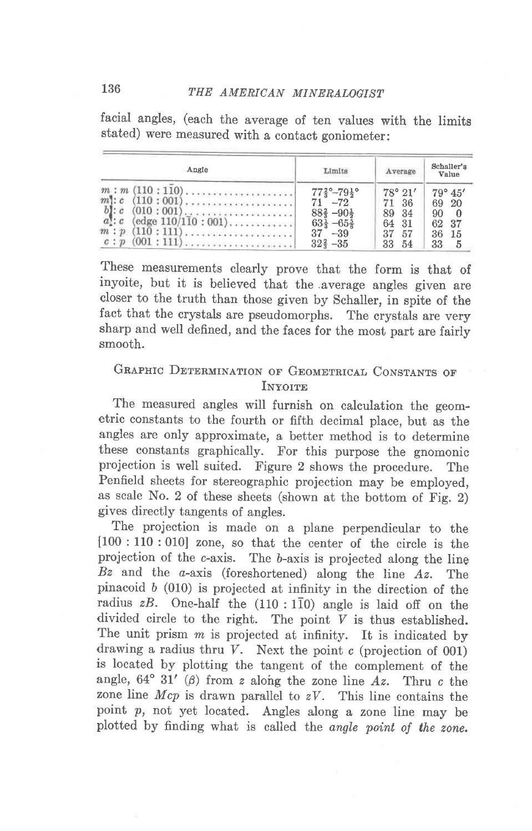facial angles, (each the average of ten values with the limits stated) were measured with a contact goniometer:

| Angle                                                                                                                 | Limits                                                                                                                                                                               | Average                                                                  | Schaller's<br>Value                                                   |
|-----------------------------------------------------------------------------------------------------------------------|--------------------------------------------------------------------------------------------------------------------------------------------------------------------------------------|--------------------------------------------------------------------------|-----------------------------------------------------------------------|
| $m$ : $c$ (110 : 001)<br>$b$ : $c$<br>$(010:001)$<br>$a$ : $c$<br>$\text{(edge } 110/110:001)$<br>$m : p$ (110 : 111) | $77\frac{2}{3}$ <sup>o</sup> -79 <sup>1</sup> <sup>o</sup><br>$71 - 72$<br>$88\frac{2}{3} - 90\frac{1}{2}$<br>$63\frac{1}{3} - 65\frac{5}{6}$<br>37<br>$-39$<br>$32\frac{2}{3} - 35$ | $78^{\circ} 21'$<br>71 36<br>89 34<br>64<br>- 31<br>37<br>57<br>33<br>54 | $79^\circ 45'$<br>69<br>- 20<br>90<br>37<br>62<br>36<br>15<br>33<br>5 |

These measurements clearly prove that the form is that of inyoite, but it is believed that the average angles given are closer to the truth than those given by Schaller, in spite of the fact that the crystals are pseudomorphs. The crystals are very sharp and well defined, and the faces for the most part are fairly smooth.

## GRAPHIC DETERMINATION OF GEOMETRICAL CONSTANTS OF **INYOITE**

The measured angles will furnish on calculation the geometric constants to the fourth or fifth decimal place, but as the angles are only approximate, a better method is to determine these constants graphically. For this purpose the gnomonic projection is well suited. Figure 2 shows the procedure. The Penfield sheets for stereographic projection may be employed, as scale No. 2 of these sheets (shown at the bottom of Fig. 2) gives directly tangents of angles.

The projection is made on a plane perpendicular to the  $[100 : 110 : 010]$  zone, so that the center of the circle is the projection of the c-axis. The b-axis is projected along the ling Bz and the  $a$ -axis (foreshortened) along the line  $Az$ . The pinacoid b (010) is projected at infinity in the direction of the radius  $zB$ . One-half the (110 : 110) angle is laid off on the divided circle to the right. The point  $V$  is thus established. The unit prism  $m$  is projected at infinity. It is indicated by drawing a radius thru  $V$ . Next the point c (projection of 001) is located by plotting the tangent of the complement of the angle,  $64^{\circ}$  31' ( $\beta$ ) from z along the zone line Az. Thru c the zone line  $Mcp$  is drawn parallel to  $zV$ . This line contains the point p, not yet located. Angles along a zone line may be plotted by finding what is called the angle point of the zone.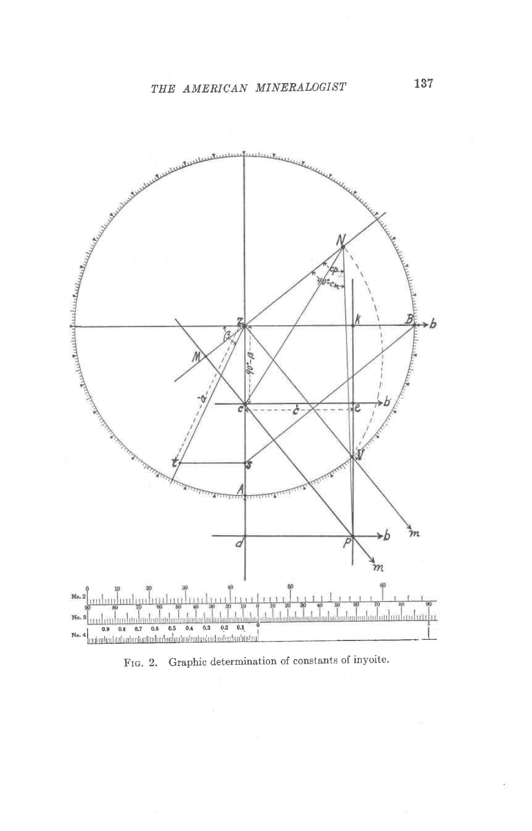

FIG. 2. Graphic determination of constants of inyoite.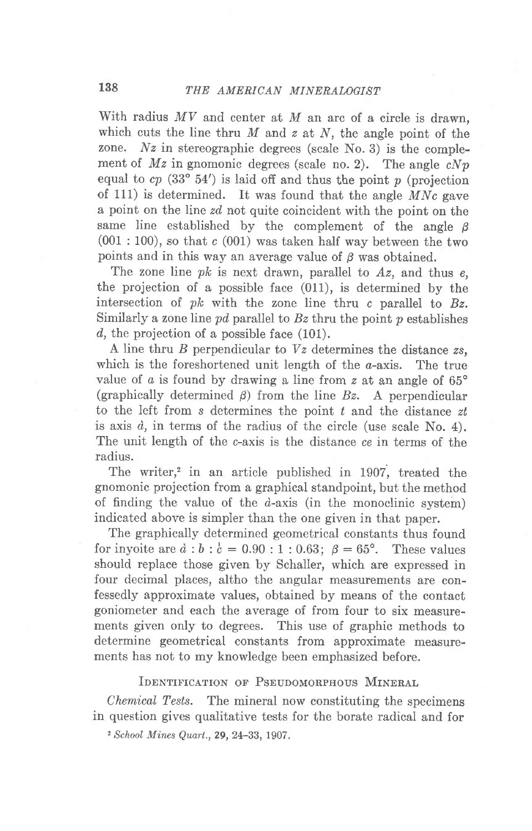With radius  $MV$  and center at  $M$  an arc of a circle is drawn, which cuts the line thru  $M$  and  $z$  at  $N$ , the angle point of the zone. Nz in stereographic degrees (scale No. 3) is the complement of  $Mz$  in gnomonic degrees (scale no. 2). The angle  $cNp$ equal to  $cp$  (33° 54') is laid off and thus the point p (projection of 111) is determined. It was found that the angle  $MNc$  gave a point on the line zd, not quite coincident with the point on the same line established by the complement of the angle  $\beta$  $(001:100)$ , so that c  $(001)$  was taken half way between the two points and in this way an average value of  $\beta$  was obtained.

The zone line  $pk$  is next drawn, parallel to  $Az$ , and thus  $e$ . the projection of a possible face (011), is determined by the intersection of  $pk$  with the zone line thru c parallel to  $Bz$ . Similarly a zone line pd parallel to  $Bz$  thru the point p establishes d, the projection of a possible face (101).

A line thru  $B$  perpendicular to  $Vz$  determines the distance  $zs$ , which is the foreshortened unit length of the  $a$ -axis. The true value of  $a$  is found by drawing a line from  $z$  at an angle of 65 $\degree$ (graphically determined  $\beta$ ) from the line Bz. A perpendicular to the left from s determines the point  $t$  and the distance  $zt$ is axis  $d$ , in terms of the radius of the circle (use scale No. 4). The unit length of the c-axis is the distance ce in terms of the radius.

The writer,<sup>2</sup> in an article published in 1907, treated the gnomonic projection from a graphical standpoint, but the method of finding the value of the  $d$ -axis (in the monoclinic system) indicated above is simpler than the one given in that paper.

The graphically determined geometrical constants thus found for inyoite are  $\dot{a}$ :  $\dot{b}$ :  $\dot{c}$  = 0.90:1:0.63;  $\beta$  = 65°. These values should replace those given by Schaller, which are expressed in four decimal places, altho the angular measurements are confessedly approximate values, obtained by means of the contact goniometer and each the average of from four to six measurements given only to degrees. This use of graphic methods to determine geometrical constants from approximate measurements has not to my knowledge been emphasized before.

IDENTIFICATION OF PSEUDOMORPHOUS MINERAL

Chemical Tests. The mineral now constituting the specimens in question gives qualitative tests for the borate radical and for

<sup>2</sup> School Mines Quart., 29, 24-33, 1907.